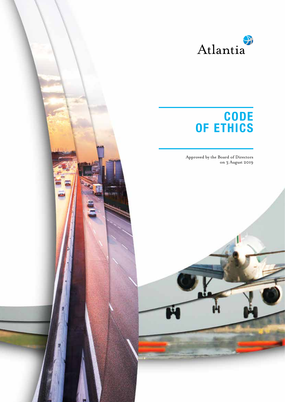

## **CODE OF ETHICS**

Approved by the Board of Directors on 3 August 2019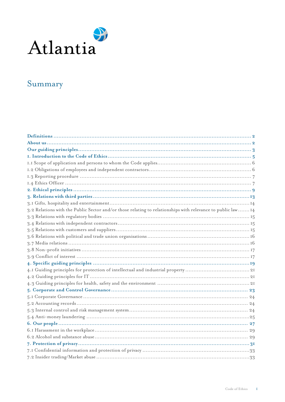

## Summary

| 3.2 Relations with the Public Sector and/or those relating to relationships with relevance to public law  14 |
|--------------------------------------------------------------------------------------------------------------|
|                                                                                                              |
|                                                                                                              |
|                                                                                                              |
|                                                                                                              |
|                                                                                                              |
|                                                                                                              |
|                                                                                                              |
|                                                                                                              |
|                                                                                                              |
|                                                                                                              |
|                                                                                                              |
|                                                                                                              |
|                                                                                                              |
|                                                                                                              |
|                                                                                                              |
|                                                                                                              |
|                                                                                                              |
|                                                                                                              |
|                                                                                                              |
|                                                                                                              |
|                                                                                                              |
|                                                                                                              |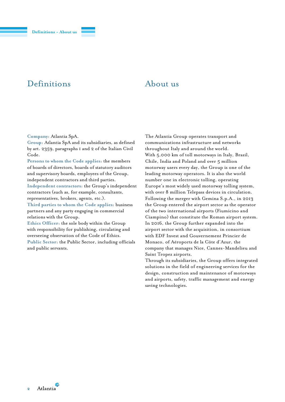### Definitions

### About us

**Company**: Atlantia SpA.

**Group**: Atlantia SpA and its subsidiaries, as defined by art. 2359, paragraphs 1 and 2 of the Italian Civil Code.

**Persons to whom the Code applies**: the members of boards of directors, boards of statutory auditors and supervisory boards, employees of the Group, independent contractors and third parties.

**Independent contractors**: the Group's independent contractors (such as, for example, consultants, representatives, brokers, agents, etc.).

**Third parties to whom the Code applies**: business partners and any party engaging in commercial relations with the Group.

**Ethics Officer**: the sole body within the Group with responsibility for publishing, circulating and overseeing observation of the Code of Ethics. **Public Sector**: the Public Sector, including officials and public servants.

The Atlantia Group operates transport and communications infrastructure and networks throughout Italy and around the world. With 5,000 km of toll motorways in Italy, Brazil, Chile, India and Poland and over 5 million motorway users every day, the Group is one of the leading motorway operators. It is also the world number one in electronic tolling, operating Europe's most widely used motorway tolling system, with over 8 million Telepass devices in circulation. Following the merger with Gemina S.p.A., in 2013 the Group entered the airport sector as the operator of the two international airports (Fiumicino and Ciampino) that constitute the Roman airport system. In 2016, the Group further expanded into the airport sector with the acquisition, in consortium with EDF Invest and Gouvernement Princier de Monaco, of Aéroports de la Côte d'Azur, the company that manages Nice, Cannes-Mandelieu and Saint Tropez airports.

Through its subsidiaries, the Group offers integrated solutions in the field of engineering services for the design, construction and maintenance of motorways and airports, safety, traffic management and energy saving technologies.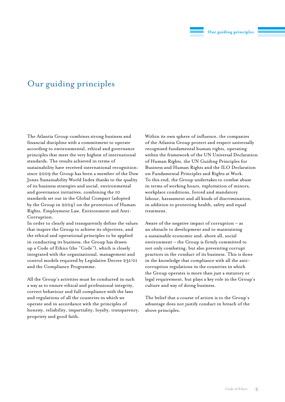

## Our guiding principles

The Atlantia Group combines strong business and financial discipline with a commitment to operate according to environmental, ethical and governance principles that meet the very highest of international standards. The results achieved in terms of sustainability have received international recognition: since 2009 the Group has been a member of the Dow Jones Sustainability World Index thanks to the quality of its business strategies and social, environmental and governance initiatives, combining the 10 standards set out in the Global Compact (adopted by the Group in 2004) on the protection of Human Rights, Employment Law, Environment and Anti-Corruption.

In order to clearly and transparently define the values that inspire the Group to achieve its objectives, and the ethical and operational principles to be applied in conducting its business, the Group has drawn up a Code of Ethics (the "Code"), which is closely integrated with the organisational, management and control models required by Legislative Decree 231/01 and the Compliance Programme.

All the Group's activities must be conducted in such a way as to ensure ethical and professional integrity, correct behaviour and full compliance with the laws and regulations of all the countries in which we operate and in accordance with the principles of honesty, reliability, impartiality, loyalty, transparency, propriety and good faith.

Within its own sphere of influence, the companies of the Atlantia Group protect and respect universally recognised fundamental human rights, operating within the framework of the UN Universal Declaration of Human Rights, the UN Guiding Principles for Business and Human Rights and the ILO Declaration on Fundamental Principles and Rights at Work. To this end, the Group undertakes to combat abuse in terms of working hours, exploitation of minors, workplace conditions, forced and mandatory labour, harassment and all kinds of discrimination, in addition to protecting health, safety and equal treatment.

Aware of the negative impact of corruption – as an obstacle to development and to maintaining a sustainable economic and, above all, social environment – the Group is firmly committed to not only combating, but also preventing corrupt practices in the conduct of its business. This is done in the knowledge that compliance with all the anticorruption regulations in the countries in which the Group operates is more than just a statutory or legal requirement, but plays a key role in the Group's culture and way of doing business.

The belief that a course of action is to the Group's advantage does not justify conduct in breach of the above principles.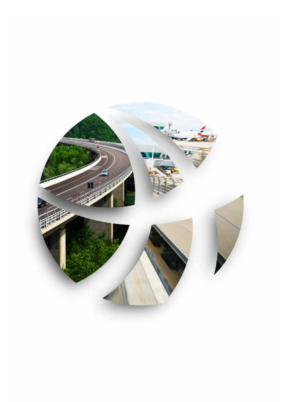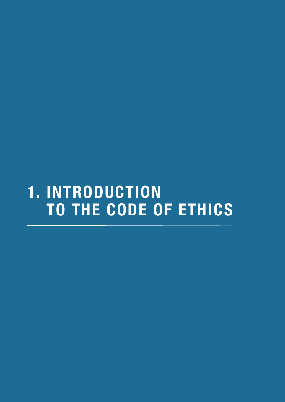# **1. INTRODUCTION TO THE CODE OF ETHICS**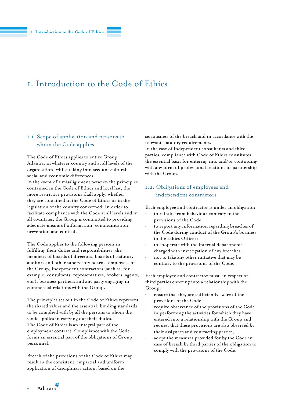### 1. Introduction to the Code of Ethics

#### 1.1. Scope of application and persons to whom the Code applies

The Code of Ethics applies to entire Group Atlantia, in whatever country and at all levels of the organisation, whilst taking into account cultural, social and economic differences. In the event of a misalignment between the principles contained in the Code of Ethics and local law, the more restrictive provisions shall apply, whether they are contained in the Code of Ethics or in the legislation of the country concerned. In order to facilitate compliance with the Code at all levels and in all countries, the Group is committed to providing adequate means of information, communication, prevention and control.

The Code applies to the following persons in fulfilling their duties and responsibilities: the members of boards of directors, boards of statutory auditors and other supervisory boards, employees of the Group, independent contractors (such as, for example, consultants, representatives, brokers, agents, etc.), business partners and any party engaging in commercial relations with the Group.

The principles set out in the Code of Ethics represent the shared values and the essential, binding standards to be complied with by all the persons to whom the Code applies in carrying out their duties. The Code of Ethics is an integral part of the employment contract. Compliance with the Code forms an essential part of the obligations of Group personnel.

Breach of the provisions of the Code of Ethics may result in the consistent, impartial and uniform application of disciplinary action, based on the

seriousness of the breach and in accordance with the relevant statutory requirements.

In the case of independent consultants and third parties, compliance with Code of Ethics constitutes the essential basis for entering into and/or continuing with any form of professional relations or partnership with the Group.

#### 1.2. Obligations of employees and independent contractors

Each employee and contractor is under an obligation:

- to refrain from behaviour contrary to the provisions of the Code;
- to report any information regarding breaches of the Code during conduct of the Group's business to the Ethics Officer;
- to cooperate with the internal departments charged with investigation of any breaches;
- not to take any other initiative that may be contrary to the provisions of the Code.

Each employee and contractor must, in respect of third parties entering into a relationship with the Group:

- ensure that they are sufficiently aware of the provisions of the Code;
- require observance of the provisions of the Code in performing the activities for which they have entered into a relationship with the Group and request that these provisions are also observed by their assignees and contracting parties;
- adopt the measures provided for by the Code in case of breach by third parties of the obligation to comply with the provisions of the Code.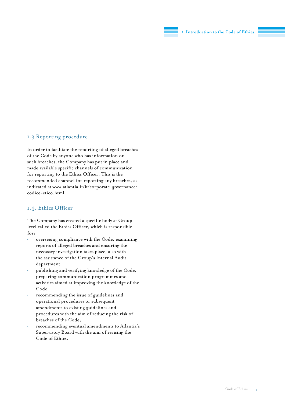

#### 1.3 Reporting procedure

In order to facilitate the reporting of alleged breaches of the Code by anyone who has information on such breaches, the Company has put in place and made available specific channels of communication for reporting to the Ethics Officer. This is the recommended channel for reporting any breaches, as indicated at www.atlantia.it/it/corporate-governance/ codice-etico.html.

#### 1.4. Ethics Officer

The Company has created a specific body at Group level called the Ethics Officer, which is responsible for:

- overseeing compliance with the Code, examining reports of alleged breaches and ensuring the necessary investigation takes place, also with the assistance of the Group's Internal Audit department;
- publishing and verifying knowledge of the Code, preparing communication programmes and activities aimed at improving the knowledge of the Code;
- recommending the issue of guidelines and operational procedures or subsequent amendments to existing guidelines and procedures with the aim of reducing the risk of breaches of the Code;
- recommending eventual amendments to Atlantia's Supervisory Board with the aim of revising the Code of Ethics.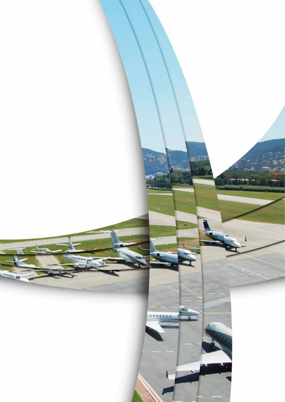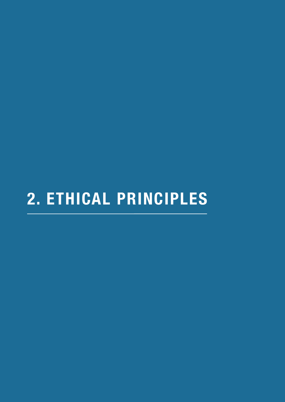# **2. ETHICAL PRINCIPLES**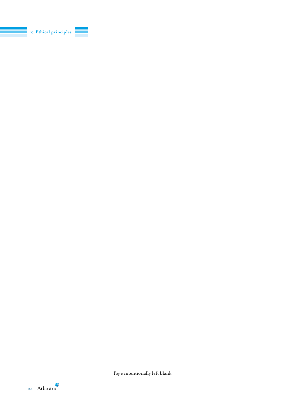

Page intentionally left blank

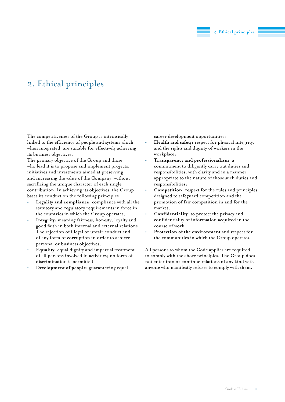## 2. Ethical principles

The competitiveness of the Group is intrinsically linked to the efficiency of people and systems which, when integrated, are suitable for effectively achieving its business objectives.

The primary objective of the Group and those who lead it is to propose and implement projects, initiatives and investments aimed at preserving and increasing the value of the Company, without sacrificing the unique character of each single contribution. In achieving its objectives, the Group bases its conduct on the following principles:

- **• Legality and compliance**: compliance with all the statutory and regulatory requirements in force in the countries in which the Group operates;
- **• Integrity**: meaning fairness, honesty, loyalty and good faith in both internal and external relations. The rejection of illegal or unfair conduct and of any form of corruption in order to achieve personal or business objectives;
- **• Equality**: equal dignity and impartial treatment of all persons involved in activities; no form of discrimination is permitted;
- **• Development of people**: guaranteeing equal

career development opportunities;

- **• Health and safety**: respect for physical integrity, and the rights and dignity of workers in the workplace;
- **• Transparency and professionalism**: a commitment to diligently carry out duties and responsibilities, with clarity and in a manner appropriate to the nature of those such duties and responsibilities;
- **• Competition**: respect for the rules and principles designed to safeguard competition and the promotion of fair competition in and for the market;
- **• Confidentiality**: to protect the privacy and confidentiality of information acquired in the course of work;
- **• Protection of the environment** and respect for the communities in which the Group operates.

All persons to whom the Code applies are required to comply with the above principles. The Group does not enter into or continue relations of any kind with anyone who manifestly refuses to comply with them.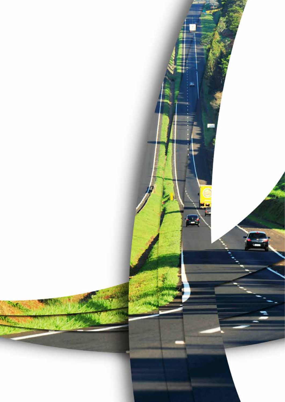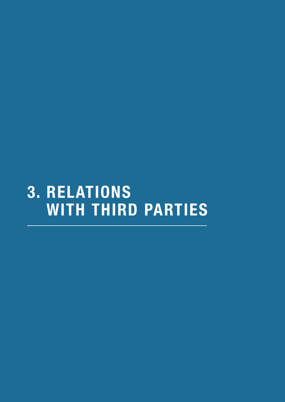# **3. RELATIONS WITH THIRD PARTIES**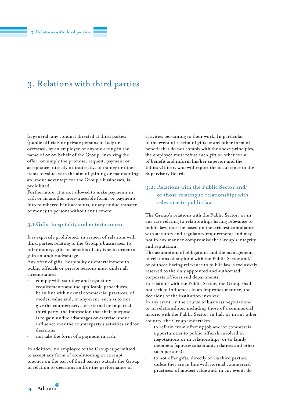### 3. Relations with third parties

In general, any conduct directed at third parties (public officials or private persons in Italy or overseas), by an employee or anyone acting in the name of or on behalf of the Group, involving the offer, or simply the promise, request, payment or acceptance, directly or indirectly, of money or other items of value, with the aim of gaining or maintaining an undue advantage for the Group's businesses, is prohibited.

Furthermore, it is not allowed to make payments in cash or in another non-traceable form, or payments into numbered bank accounts, or any undue transfer of money to persons without entitlement.

#### 3.1 Gifts, hospitality and entertainment

It is expressly prohibited, in respect of relations with third parties relating to the Group's businesses, to offer money, gifts or benefits of any type in order to gain an undue advantage.

Any offer of gifts, hospitality or entertainment to public officials or private persons must under all circumstances:

- comply with statutory and regulatory requirements and the applicable procedures;
- be in line with normal commercial practices, of modest value and, in any event, such as to not give the counterparty, or external or impartial third party, the impression that their purpose is to gain undue advantages or exercise undue influence over the counterparty's activities and/or decisions;
- not take the form of a payment in cash.

In addition, no employee of the Group is permitted to accept any form of conditioning or corrupt practice on the part of third parties outside the Group in relation to decisions and/or the performance of

activities pertaining to their work. In particular, in the event of receipt of gifts or any other form of benefit that do not comply with the above principles, the employee must refuse such gift or other form of benefit and inform his/her superior and the Ethics Officer, who will report the occurrence to the Supervisory Board.

#### 3.2. Relations with the Public Sector and/ or those relating to relationships with relevance to public law

The Group's relations with the Public Sector, or in any case relating to relationships having relevance to public law, must be based on the strictest compliance with statutory and regulatory requirements and may not in any manner compromise the Group's integrity and reputation.

The assumption of obligations and the management of relations of any kind with the Public Sector and/ or of those having relevance to public law is exclusively reserved to the duly appointed and authorised corporate officers and departments.

In relations with the Public Sector, the Group shall not seek to influence, in an improper manner, the decisions of the institution involved.

In any event, in the course of business negotiations or in relationships, including those of a commercial nature, with the Public Sector, in Italy or in any other country, the Group undertakes:

- to refrain from offering job and/or commercial opportunities to public officials involved in negotiations or in relationships, or to family members (spouse/cohabitant, relatives and other such persons);
- to not offer gifts, directly or via third parties, unless they are in line with normal commercial practices, of modest value and, in any event, do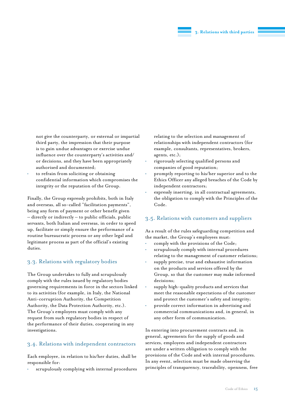

not give the counterparty, or external or impartial third party, the impression that their purpose is to gain undue advantages or exercise undue influence over the counterparty's activities and/ or decisions, and they have been appropriately authorised and documented;

• to refrain from soliciting or obtaining confidential information which compromises the integrity or the reputation of the Group.

Finally, the Group expressly prohibits, both in Italy and overseas, all so-called "facilitation payments", being any form of payment or other benefit given – directly or indirectly – to public officials, public servants, both Italian and overseas, in order to speed up, facilitate or simply ensure the performance of a routine bureaucratic process or any other legal and legitimate process as part of the official's existing duties.

#### 3.3. Relations with regulatory bodies

The Group undertakes to fully and scrupulously comply with the rules issued by regulatory bodies governing requirements in force in the sectors linked to its activities (for example, in Italy, the National Anti-corruption Authority, the Competition Authority, the Data Protection Authority, etc.). The Group's employees must comply with any request from such regulatory bodies in respect of the performance of their duties, cooperating in any investigations.

#### 3.4. Relations with independent contractors

Each employee, in relation to his/her duties, shall be responsible for:

scrupulously complying with internal procedures

relating to the selection and management of relationships with independent contractors (for example, consultants, representatives, brokers, agents, etc.);

- rigorously selecting qualified persons and companies of good reputation;
- promptly reporting to his/her superior and to the Ethics Officer any alleged breaches of the Code by independent contractors;
- expressly inserting, in all contractual agreements, the obligation to comply with the Principles of the Code.

#### 3.5. Relations with customers and suppliers

As a result of the rules safeguarding competition and the market, the Group's employees must:

- comply with the provisions of the Code;
- scrupulously comply with internal procedures relating to the management of customer relations;
- supply precise, true and exhaustive information on the products and services offered by the Group, so that the customer may make informed decisions;
- supply high-quality products and services that meet the reasonable expectations of the customer and protect the customer's safety and integrity;
- provide correct information in advertising and commercial communications and, in general, in any other form of communication.

In entering into procurement contracts and, in general, agreements for the supply of goods and services, employees and independent contractors are under a written obligation to comply with the provisions of the Code and with internal procedures. In any event, selection must be made observing the principles of transparency, traceability, openness, free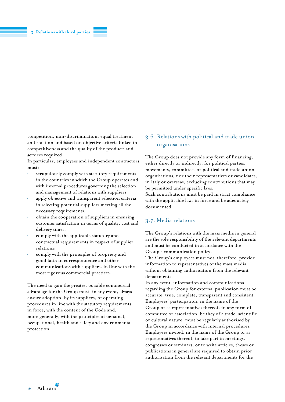

In particular, employees and independent contractors must:

- scrupulously comply with statutory requirements in the countries in which the Group operates and with internal procedures governing the selection and management of relations with suppliers;
- apply objective and transparent selection criteria in selecting potential suppliers meeting all the necessary requirements;
- obtain the cooperation of suppliers in ensuring customer satisfaction in terms of quality, cost and delivery times;
- comply with the applicable statutory and contractual requirements in respect of supplier relations;
- comply with the principles of propriety and good faith in correspondence and other communications with suppliers, in line with the most rigorous commercial practices.

The need to gain the greatest possible commercial advantage for the Group must, in any event, always ensure adoption, by its suppliers, of operating procedures in line with the statutory requirements in force, with the content of the Code and, more generally, with the principles of personal, occupational, health and safety and environmental protection.

#### 3.6. Relations with political and trade union organisations

The Group does not provide any form of financing, either directly or indirectly, for political parties, movements, committees or political and trade union organisations, nor their representatives or candidates, in Italy or overseas, excluding contributions that may be permitted under specific laws.

Such contributions must be paid in strict compliance with the applicable laws in force and be adequately documented.

#### 3.7. Media relations

The Group's relations with the mass media in general are the sole responsibility of the relevant departments and must be conducted in accordance with the Group's communication policy.

The Group's employees must not, therefore, provide information to representatives of the mass media without obtaining authorisation from the relevant departments.

In any event, information and communications regarding the Group for external publication must be accurate, true, complete, transparent and consistent. Employees' participation, in the name of the Group or as representatives thereof, in any form of committee or association, be they of a trade, scientific or cultural nature, must be regularly authorised by the Group in accordance with internal procedures. Employees invited, in the name of the Group or as representatives thereof, to take part in meetings, congresses or seminars, or to write articles, theses or publications in general are required to obtain prior authorisation from the relevant departments for the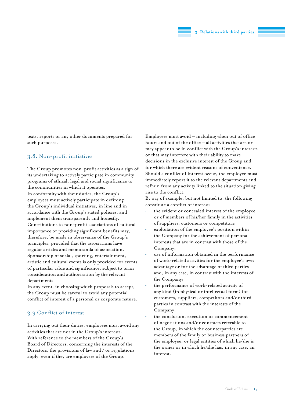

texts, reports or any other documents prepared for such purposes.

#### 3.8. Non-profit initiatives

The Group promotes non-profit activities as a sign of its undertaking to actively participate in community programs of ethical, legal and social significance to the communities in which it operates. In conformity with their duties, the Group's employees must actively participate in defining the Group's individual initiatives, in line and in accordance with the Group's stated policies, and implement them transparently and honestly. Contributions to non-profit associations of cultural importance or providing significant benefits may, therefore, be made in observance of the Group's principles, provided that the associations have regular articles and memoranda of association. Sponsorship of social, sporting, entertainment, artistic and cultural events is only provided for events of particular value and significance, subject to prior consideration and authorisation by the relevant departments.

In any event, in choosing which proposals to accept, the Group must be careful to avoid any potential conflict of interest of a personal or corporate nature.

#### 3.9 Conflict of interest

In carrying out their duties, employees must avoid any activities that are not in the Group's interests. With reference to the members of the Group's Board of Directors, concerning the interests of the Directors, the provisions of law and / or regulations apply, even if they are employees of the Group.

Employees must avoid – including when out of office hours and out of the office – all activities that are or may appear to be in conflict with the Group's interests or that may interfere with their ability to make decisions in the exclusive interest of the Group and for which there are evident reasons of convenience. Should a conflict of interest occur, the employee must immediately report it to the relevant departments and refrain from any activity linked to the situation giving rise to the conflict.

By way of example, but not limited to, the following constitute a conflict of interest:

- the evident or concealed interest of the employee or of members of his/her family in the activities of suppliers, customers or competitors;
- exploitation of the employee's position within the Company for the achievement of personal interests that are in contrast with those of the Company;
- use of information obtained in the performance of work-related activities for the employee's own advantage or for the advantage of third parties and, in any case, in contrast with the interests of the Company;
- the performance of work-related activity of any kind (in physical or intellectual form) for customers, suppliers, competitors and/or third parties in contrast with the interests of the Company;
- the conclusion, execution or commencement of negotiations and/or contracts referable to the Group, in which the counterparties are members of the family or business partners of the employee, or legal entities of which he/she is the owner or in which he/she has, in any case, an interest.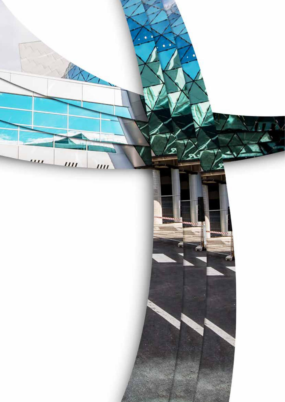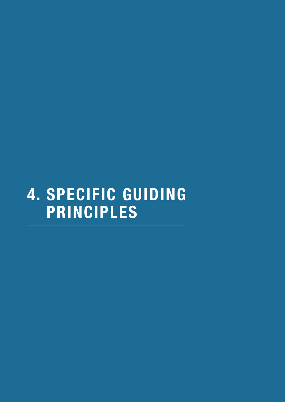## **4. SPECIFIC GUIDING PRINCIPLES**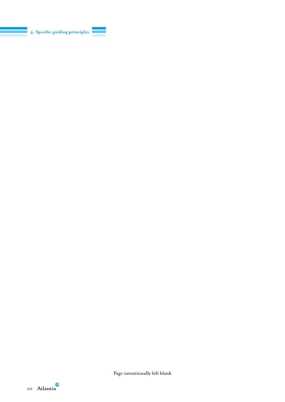

Page intentionally left blank

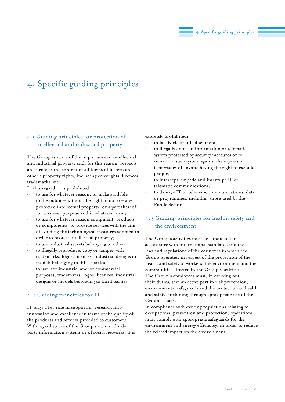

## 4. Specific guiding principles

#### 4.1 Guiding principles for protection of intellectual and industrial property

The Group is aware of the importance of intellectual and industrial property and, for this reason, respects and protects the content of all forms of its own and other's property rights, including copyrights, licences, trademarks, etc.

In this regard, it is prohibited:

- to use for whatever reason, or make available to the public – without the right to do so – any protected intellectual property, or a part thereof, for whatever purpose and in whatever form;
- to use for whatever reason equipment, products or components, or provide services with the aim of avoiding the technological measures adopted in order to protect intellectual property;
- to use industrial secrets belonging to others;
- to illegally reproduce, copy or tamper with trademarks, logos, licences, industrial designs or models belonging to third parties;
- to use, for industrial and/or commercial purposes, trademarks, logos, licences, industrial designs or models belonging to third parties.

#### 4.2 Guiding principles for IT

IT plays a key role in supporting research into innovation and excellence in terms of the quality of the products and services provided to customers. With regard to use of the Group's own or thirdparty information systems or of social networks, it is expressly prohibited:

- to falsify electronic documents;
- to illegally enter an information or telematic system protected by security measures or to remain in such system against the express or tacit wishes of anyone having the right to exclude people;
- to intercept, impede and interrupt IT or telematic communications;
- to damage IT or telematic communications, data or programmes, including those used by the Public Sector.

#### 4.3 Guiding principles for health, safety and the environment

The Group's activities must be conducted in accordance with international standards and the laws and regulations of the countries in which the Group operates, in respect of the protection of the health and safety of workers, the environment and the communities affected by the Group's activities. The Group's employees must, in carrying out their duties, take an active part in risk prevention, environmental safeguards and the protection of health and safety, including through appropriate use of the Group's assets.

In compliance with existing regulations relating to occupational prevention and protection, operations must comply with appropriate safeguards for the environment and energy efficiency, in order to reduce the related impact on the environment.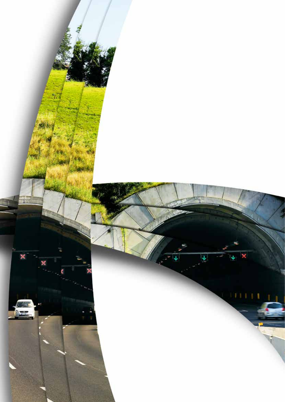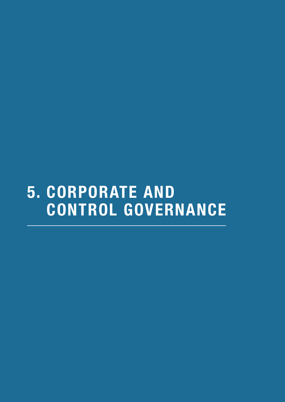# **5. CORPORATE AND CONTROL GOVERNANCE**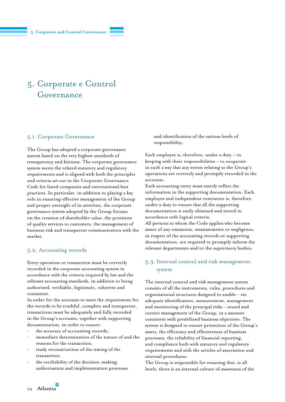### 5. Corporate e Control Governance

#### 5.1. Corporate Governance

The Group has adopted a corporate governance system based on the very highest standards of transparency and fairness. The corporate governance system meets the related statutory and regulatory requirements and is aligned with both the principles and criteria set out in the Corporate Governance Code for listed companies and international best practices. In particular, in addition to playing a key role in ensuring effective management of the Group and proper oversight of its activities, the corporate governance system adopted by the Group focuses on the creation of shareholder value, the provision of quality services to customers, the management of business risk and transparent communication with the market.

#### 5.2. Accounting records

Every operation or transaction must be correctly recorded in the corporate accounting system in accordance with the criteria required by law and the relevant accounting standards, in addition to being authorised, verifiable, legitimate, coherent and consistent.

In order for the accounts to meet the requirement for the records to be truthful, complete and transparent, transactions must be adequately and fully recorded in the Group's accounts, together with supporting documentation, in order to ensure:

- the accuracy of accounting records;
- immediate determination of the nature of and the reasons for the transaction;
- ready reconstruction of the timing of the transaction;
- the verifiability of the decision-making, authorisation and implementation processes

and identification of the various levels of responsibility.

Each employee is, therefore, under a duty  $-$  in keeping with their responsibilities – to cooperate in such a way that any events relating to the Group's operations are correctly and promptly recorded in the accounts.

Each accounting entry must exactly reflect the information in the supporting documentation. Each employee and independent contractor is, therefore, under a duty to ensure that all the supporting documentation is easily obtained and stored in accordance with logical criteria. All persons to whom the Code applies who become

aware of any omissions, misstatements or negligence, in respect of the accounting records or supporting documentation, are required to promptly inform the relevant departments and/or the supervisory bodies.

#### 5.3. Internal control and risk management system

The internal control and risk management system consists of all the instruments, rules, procedures and organisational structures designed to enable - via adequate identification, measurement, management and monitoring of the principal risks - sound and correct management of the Group, in a manner consistent with predefined business objectives. The system is designed to ensure protection of the Group's assets, the efficiency and effectiveness of business processes, the reliability of financial reporting, and compliance both with statutory and regulatory requirements and with the articles of association and internal procedures.

The Group is responsible for ensuring that, at all levels, there is an internal culture of awareness of the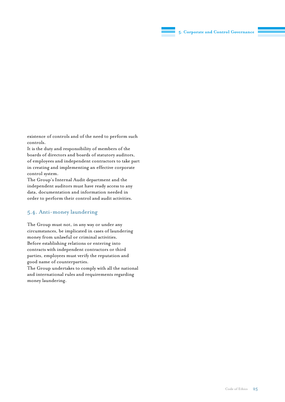

existence of controls and of the need to perform such controls.

It is the duty and responsibility of members of the boards of directors and boards of statutory auditors, of employees and independent contractors to take part in creating and implementing an effective corporate control system.

The Group's Internal Audit department and the independent auditors must have ready access to any data, documentation and information needed in order to perform their control and audit activities.

#### 5.4. Anti-money laundering

The Group must not, in any way or under any circumstances, be implicated in cases of laundering money from unlawful or criminal activities. Before establishing relations or entering into contracts with independent contractors or third parties, employees must verify the reputation and good name of counterparties.

The Group undertakes to comply with all the national and international rules and requirements regarding money laundering.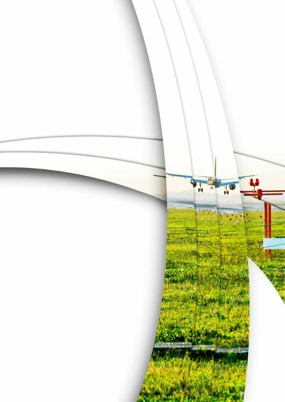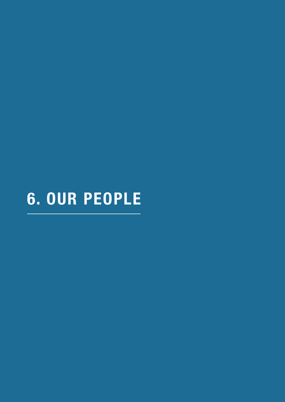# **6. OUR PEOPLE**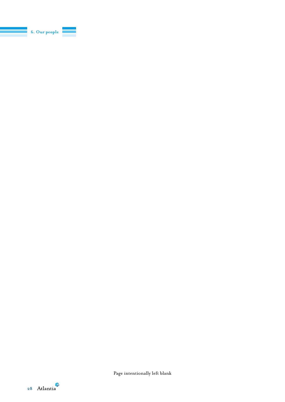![](_page_29_Picture_0.jpeg)

Page intentionally left blank

![](_page_29_Picture_2.jpeg)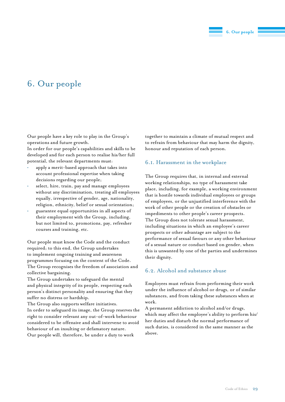![](_page_30_Picture_0.jpeg)

### 6. Our people

Our people have a key role to play in the Group's operations and future growth.

In order for our people's capabilities and skills to be developed and for each person to realise his/her full potential, the relevant departments must:

- apply a merit-based approach that takes into account professional expertise when taking decisions regarding our people;
- select, hire, train, pay and manage employees without any discrimination, treating all employees equally, irrespective of gender, age, nationality, religion, ethnicity, belief or sexual orientation;
- guarantee equal opportunities in all aspects of their employment with the Group, including, but not limited to, promotions, pay, refresher courses and training, etc.

Our people must know the Code and the conduct required; to this end, the Group undertakes to implement ongoing training and awareness programmes focusing on the content of the Code. The Group recognises the freedom of association and collective bargaining.

The Group undertakes to safeguard the mental and physical integrity of its people, respecting each person's distinct personality and ensuring that they suffer no distress or hardship.

The Group also supports welfare initiatives. In order to safeguard its image, the Group reserves the right to consider relevant any out-of-work behaviour considered to be offensive and shall intervene to avoid behaviour of an insulting or defamatory nature. Our people will, therefore, be under a duty to work

together to maintain a climate of mutual respect and to refrain from behaviour that may harm the dignity, honour and reputation of each person.

#### 6.1. Harassment in the workplace

The Group requires that, in internal and external working relationships, no type of harassment take place, including, for example, a working environment that is hostile towards individual employees or groups of employees, or the unjustified interference with the work of other people or the creation of obstacles or impediments to other people's career prospects. The Group does not tolerate sexual harassment, including situations in which an employee's career prospects or other advantage are subject to the performance of sexual favours or any other behaviour of a sexual nature or conduct based on gender, when this is unwanted by one of the parties and undermines their dignity.

#### 6.2. Alcohol and substance abuse

Employees must refrain from performing their work under the influence of alcohol or drugs, or of similar substances, and from taking these substances when at work.

A permanent addiction to alcohol and/or drugs, which may affect the employee's ability to perform his/ her duties and disturb the normal performance of such duties, is considered in the same manner as the above.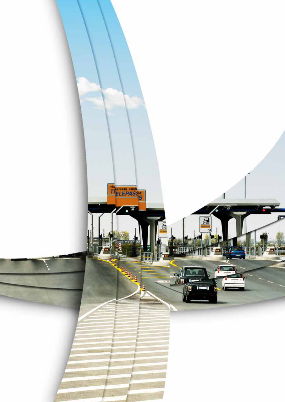![](_page_31_Picture_0.jpeg)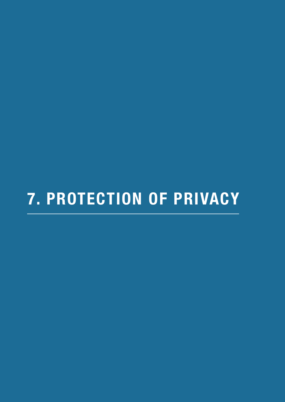# **7. PROTECTION OF PRIVACY**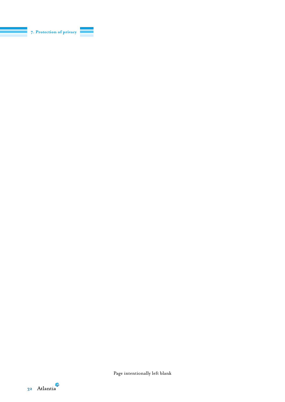![](_page_33_Picture_0.jpeg)

![](_page_33_Picture_1.jpeg)

Page intentionally left blank

![](_page_33_Picture_3.jpeg)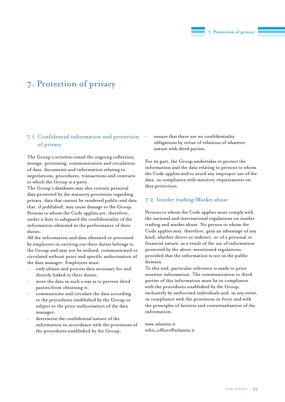![](_page_34_Picture_0.jpeg)

## 7. Protection of privacy

#### 7.1. Confidential information and protection of privacy

The Group's activities entail the ongoing collection, storage, processing, communication and circulation of data, documents and information relating to negotiations, procedures, transactions and contracts to which the Group is a party.

The Group's databases may also contain personal data protected by the statutory provisions regarding privacy, data that cannot be rendered public and data that, if published, may cause damage to the Group. Persons to whom the Code applies are, therefore, under a duty to safeguard the confidentiality of the information obtained in the performance of their duties.

All the information and data obtained or processed by employees in carrying out their duties belongs to the Group and may not be utilised, communicated or circulated without prior and specific authorisation of the data manager. Employees must:

- only obtain and process data necessary for and directly linked to their duties;
- store the data in such a way as to prevent third parties from obtaining it;
- communicate and circulate the data according to the procedures established by the Group or subject to the prior authorisation of the data manager;
- determine the confidential nature of the information in accordance with the provisions of the procedures established by the Group;

• ensure that there are no confidentiality obligations by virtue of relations of whatever nature with third parties.

For its part, the Group undertakes to protect the information and the data relating to persons to whom the Code applies and to avoid any improper use of the data, in compliance with statutory requirements on data protection.

#### 7.2. Insider trading/Market abuse

Persons to whom the Code applies must comply with the national and international regulations on insider trading and market abuse. No person to whom the Code applies may, therefore, gain an advantage of any kind, whether direct or indirect, or of a personal or financial nature, as a result of the use of information protected by the above-mentioned regulations, provided that the information is not in the public domain.

To this end, particular reference is made to price sensitive information. The communication to third parties of this information must be in compliance with the procedures established by the Group, exclusively by authorised individuals and, in any event, in compliance with the provisions in force and with the principles of fairness and contextualisation of the information.

www.atlantia.it ethic\_officer@atlantia.it